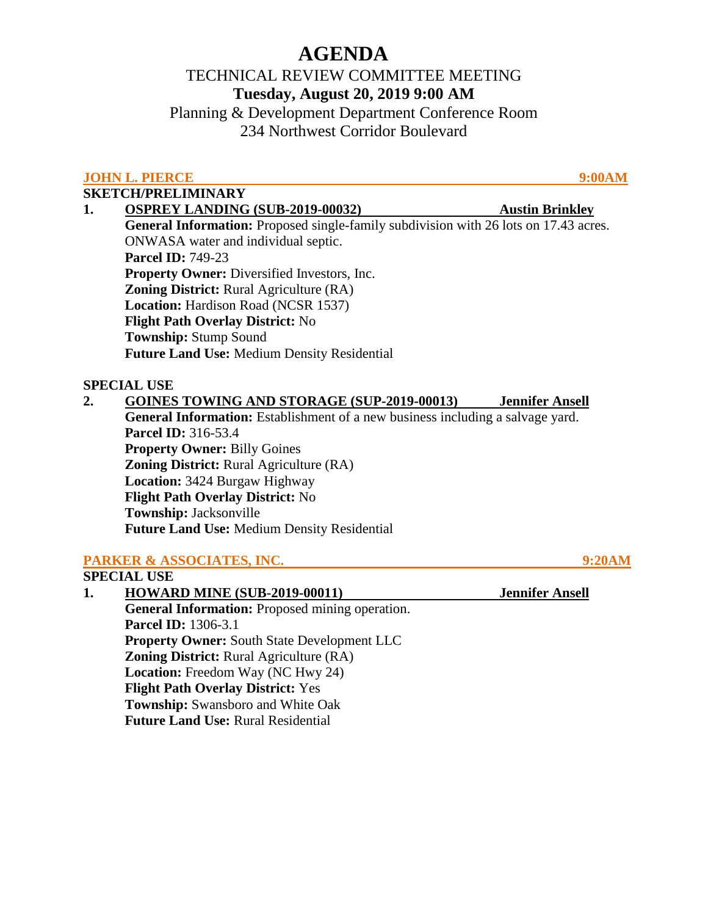# **AGENDA**

# TECHNICAL REVIEW COMMITTEE MEETING **Tuesday, August 20, 2019 9:00 AM**

Planning & Development Department Conference Room 234 Northwest Corridor Boulevard

# **JOHN L. PIERCE** 9:00AM

## **SKETCH/PRELIMINARY**

| 1. | <b>OSPREY LANDING (SUB-2019-00032)</b>                                                      | <b>Austin Brinkley</b> |
|----|---------------------------------------------------------------------------------------------|------------------------|
|    | <b>General Information:</b> Proposed single-family subdivision with 26 lots on 17.43 acres. |                        |
|    | ONWASA water and individual septic.                                                         |                        |
|    | <b>Parcel ID: 749-23</b>                                                                    |                        |
|    | <b>Property Owner:</b> Diversified Investors, Inc.                                          |                        |
|    | <b>Zoning District:</b> Rural Agriculture (RA)                                              |                        |
|    | <b>Location:</b> Hardison Road (NCSR 1537)                                                  |                        |
|    | <b>Flight Path Overlay District: No</b>                                                     |                        |
|    | <b>Township: Stump Sound</b>                                                                |                        |
|    | <b>Future Land Use: Medium Density Residential</b>                                          |                        |
|    | <b>SPECIAL USE</b>                                                                          |                        |
| 2. | <b>GOINES TOWING AND STORAGE (SUP-2019-00013)</b>                                           | <b>Jennifer Ansell</b> |
|    | <b>General Information:</b> Establishment of a new business including a salvage yard.       |                        |
|    | <b>Parcel ID:</b> 316-53.4                                                                  |                        |

**Parcel ID:** 316-53.4 **Property Owner:** Billy Goines **Zoning District:** Rural Agriculture (RA)  **Location:** 3424 Burgaw Highway  **Flight Path Overlay District:** No  **Township:** Jacksonville **Future Land Use:** Medium Density Residential

# **PARKER & ASSOCIATES, INC.** 9:20AM

## **SPECIAL USE 1. HOWARD MINE (SUB-2019-00011) Jennifer Ansell General Information:** Proposed mining operation. **Parcel ID:** 1306-3.1 **Property Owner:** South State Development LLC **Zoning District:** Rural Agriculture (RA)  **Location:** Freedom Way (NC Hwy 24)  **Flight Path Overlay District:** Yes  **Township:** Swansboro and White Oak **Future Land Use:** Rural Residential